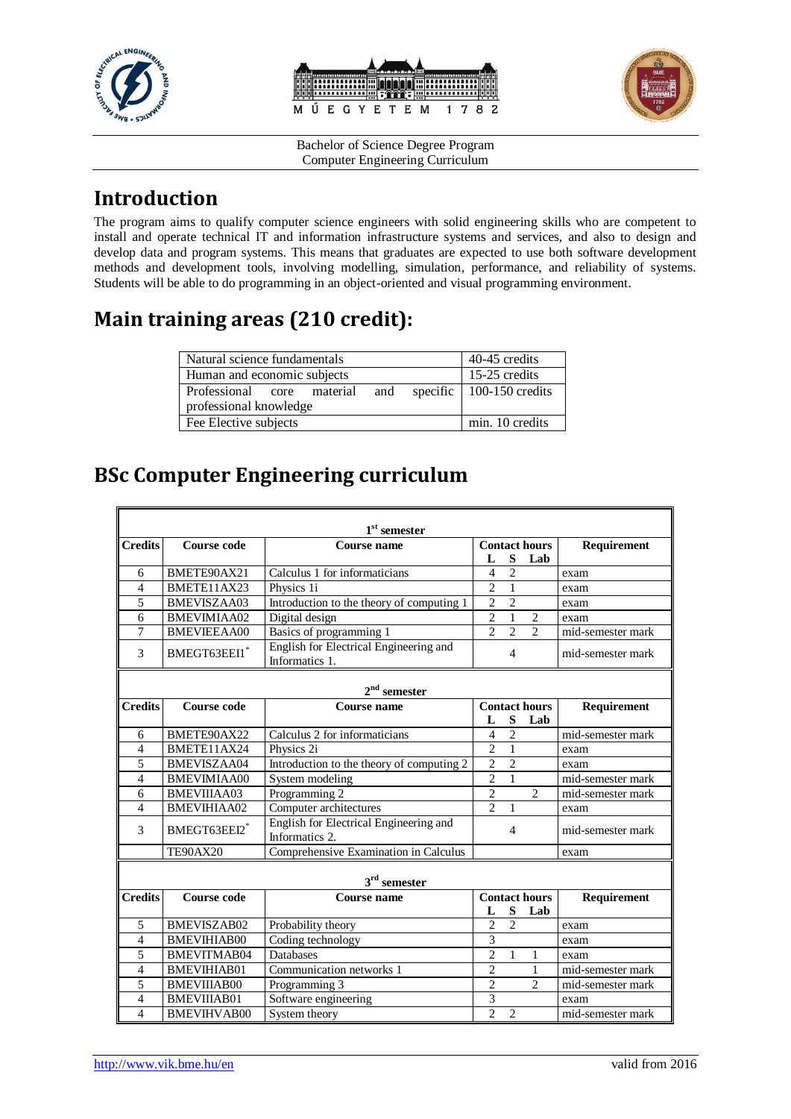





## **Introduction**

The program aims to qualify computer science engineers with solid engineering skills who are competent to install and operate technical IT and information infrastructure systems and services, and also to design and develop data and program systems. This means that graduates are expected to use both software development methods and development tools, involving modelling, simulation, performance, and reliability of systems. Students will be able to do programming in an object-oriented and visual programming environment.

# **Main training areas (210 credit):**

| Natural science fundamentals   |  |  |  |  | 40-45 credits                    |
|--------------------------------|--|--|--|--|----------------------------------|
| Human and economic subjects    |  |  |  |  | 15-25 credits                    |
| Professional core material and |  |  |  |  | specific $\vert$ 100-150 credits |
| professional knowledge         |  |  |  |  |                                  |
| Fee Elective subjects          |  |  |  |  | min. 10 credits                  |

## **BSc Computer Engineering curriculum**

| $1st$ semester           |                    |                                                          |                             |                |                      |                   |
|--------------------------|--------------------|----------------------------------------------------------|-----------------------------|----------------|----------------------|-------------------|
| <b>Credits</b>           | Course code        | <b>Course name</b>                                       | <b>Contact hours</b>        |                |                      | Requirement       |
|                          |                    |                                                          | L                           | S              | Lab                  |                   |
| 6                        | BMETE90AX21        | Calculus 1 for informaticians                            | 4                           | $\overline{2}$ |                      | exam              |
| $\overline{4}$           | BMETE11AX23        | Physics 1i                                               | $\overline{c}$              | $\mathbf{1}$   |                      | exam              |
| 5                        | BMEVISZAA03        | Introduction to the theory of computing 1                | $\overline{2}$              | $\overline{2}$ |                      | exam              |
| 6                        | BMEVIMIAA02        | Digital design                                           | $\overline{2}$              | $\mathbf{1}$   | $\overline{c}$       | exam              |
| $\overline{7}$           | <b>BMEVIEEAA00</b> | Basics of programming 1                                  | $\mathcal{D}_{\mathcal{L}}$ | $\overline{2}$ | $\overline{2}$       | mid-semester mark |
| 3                        | BMEGT63EEI1*       | English for Electrical Engineering and<br>Informatics 1. | $\overline{4}$              |                |                      | mid-semester mark |
| $2nd$ semester           |                    |                                                          |                             |                |                      |                   |
| <b>Credits</b>           | <b>Course code</b> | <b>Course name</b>                                       |                             |                | <b>Contact hours</b> | Requirement       |
|                          |                    |                                                          | L                           | S              | Lab                  |                   |
| 6                        | BMETE90AX22        | Calculus 2 for informaticians                            | $\overline{4}$              | $\overline{c}$ |                      | mid-semester mark |
| $\overline{\mathcal{L}}$ | BMETE11AX24        | Physics 2i                                               | $\overline{c}$              | $\mathbf{1}$   |                      | exam              |
| 5                        | <b>BMEVISZAA04</b> | Introduction to the theory of computing 2                | $\overline{2}$              | $\overline{2}$ |                      | exam              |
| $\overline{4}$           | <b>BMEVIMIAA00</b> | System modeling                                          | $\overline{c}$              | $\mathbf{1}$   |                      | mid-semester mark |
| 6                        | <b>BMEVIIIAA03</b> | Programming 2                                            | $\overline{2}$              |                | $\overline{2}$       | mid-semester mark |
| 4                        | <b>BMEVIHIAA02</b> | Computer architectures                                   | $\overline{c}$              | $\mathbf{1}$   |                      | exam              |
| 3                        | BMEGT63EEI2*       | English for Electrical Engineering and<br>Informatics 2. |                             | $\overline{4}$ |                      | mid-semester mark |
|                          | <b>TE90AX20</b>    | Comprehensive Examination in Calculus                    |                             |                |                      | exam              |
| $3rd$ semester           |                    |                                                          |                             |                |                      |                   |
| <b>Credits</b>           | <b>Course code</b> | Course name                                              | <b>Contact hours</b>        |                |                      | Requirement       |
|                          |                    |                                                          | L                           | S              | Lab                  |                   |
| 5                        | BMEVISZAB02        | Probability theory                                       | $\overline{c}$              | $\overline{2}$ |                      | exam              |
| $\overline{4}$           | <b>BMEVIHIAB00</b> | Coding technology                                        | $\overline{\mathbf{3}}$     |                |                      | exam              |
| 5                        | BMEVITMAB04        | <b>Databases</b>                                         | $\overline{2}$              | $\mathbf{1}$   | 1                    | exam              |
| $\overline{4}$           | <b>BMEVIHIAB01</b> | Communication networks 1                                 | $\overline{c}$              |                | 1                    | mid-semester mark |
| 5                        | <b>BMEVIIIAB00</b> | Programming 3                                            | $\overline{2}$              |                | $\overline{c}$       | mid-semester mark |
| $\overline{4}$           | <b>BMEVIIIAB01</b> | Software engineering                                     | 3                           |                |                      | exam              |
| $\overline{4}$           | <b>BMEVIHVAB00</b> | System theory                                            | $\overline{2}$              | $\overline{2}$ |                      | mid-semester mark |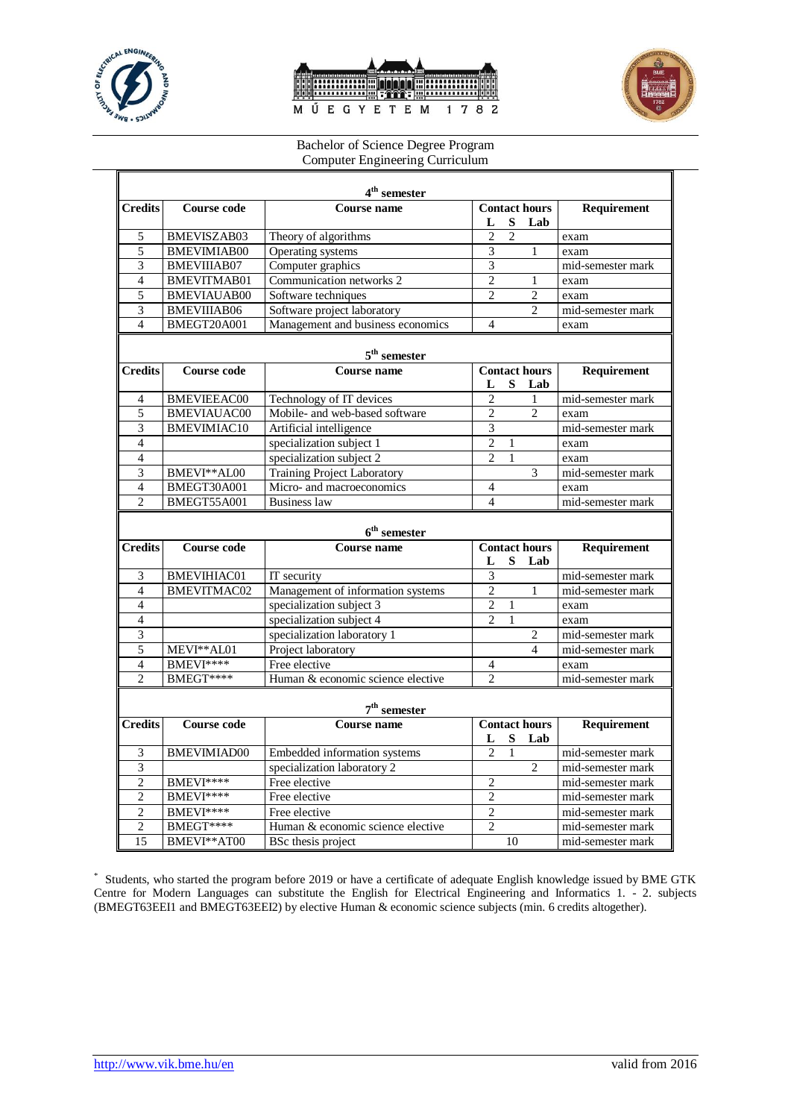





| 4 <sup>th</sup> semester     |                        |                                    |                                  |                |                             |                                        |  |
|------------------------------|------------------------|------------------------------------|----------------------------------|----------------|-----------------------------|----------------------------------------|--|
| <b>Credits</b>               | <b>Course code</b>     | <b>Course name</b>                 | <b>Contact hours</b>             |                |                             | Requirement                            |  |
|                              |                        |                                    | L                                | S              | Lab                         |                                        |  |
| 5                            | <b>BMEVISZAB03</b>     | Theory of algorithms               | $\overline{c}$                   | $\overline{2}$ |                             | exam                                   |  |
| 5                            | <b>BMEVIMIAB00</b>     | Operating systems                  | 3                                |                | 1                           | exam                                   |  |
| $\overline{3}$               | <b>BMEVIIIAB07</b>     | Computer graphics                  | $\overline{3}$                   |                |                             | mid-semester mark                      |  |
| $\overline{4}$               | <b>BMEVITMAB01</b>     | Communication networks 2           | $\overline{2}$                   |                | 1                           | exam                                   |  |
| $\overline{5}$               | <b>BMEVIAUAB00</b>     | Software techniques                | $\mathfrak{D}$                   |                | 2                           | exam                                   |  |
| 3                            | <b>BMEVIIIAB06</b>     | Software project laboratory        |                                  |                | $\overline{c}$              | mid-semester mark                      |  |
| $\overline{4}$               | BMEGT20A001            | Management and business economics  | $\overline{4}$                   |                |                             | exam                                   |  |
|                              |                        | $5th$ semester                     |                                  |                |                             |                                        |  |
| <b>Credits</b>               | <b>Course code</b>     | <b>Course name</b>                 |                                  |                | <b>Contact hours</b>        | Requirement                            |  |
|                              |                        |                                    | L                                | S              | Lab                         |                                        |  |
| $\overline{4}$               | <b>BMEVIEEAC00</b>     | Technology of IT devices           | $\overline{2}$                   |                | $\mathbf{1}$                | mid-semester mark                      |  |
| $\overline{5}$               | <b>BMEVIAUAC00</b>     | Mobile- and web-based software     | $\overline{c}$                   |                | 2                           | exam                                   |  |
| 3                            | <b>BMEVIMIAC10</b>     | Artificial intelligence            | $\overline{\mathbf{3}}$          |                |                             | mid-semester mark                      |  |
| $\overline{4}$               |                        | specialization subject 1           | $\overline{2}$                   | $\mathbf{1}$   |                             | exam                                   |  |
| $\overline{4}$               |                        | specialization subject 2           | $\overline{c}$                   | 1              |                             | exam                                   |  |
| 3                            | BMEVI**AL00            | <b>Training Project Laboratory</b> |                                  |                | 3                           | mid-semester mark                      |  |
| $\overline{4}$               | BMEGT30A001            | Micro- and macroeconomics          | $\overline{4}$                   |                |                             | exam                                   |  |
| $\overline{c}$               | BMEGT55A001            | <b>Business law</b>                | $\overline{4}$                   |                |                             | mid-semester mark                      |  |
|                              |                        |                                    |                                  |                |                             |                                        |  |
|                              |                        | $6th$ semester                     |                                  |                |                             |                                        |  |
| <b>Credits</b>               | <b>Course code</b>     | Course name                        | L                                | S              | <b>Contact hours</b><br>Lab | <b>Requirement</b>                     |  |
| 3                            | <b>BMEVIHIAC01</b>     | IT security                        | $\overline{\mathbf{3}}$          |                |                             | mid-semester mark                      |  |
| $\overline{4}$               | <b>BMEVITMAC02</b>     | Management of information systems  | $\overline{2}$                   |                | 1                           | mid-semester mark                      |  |
| $\overline{4}$               |                        | specialization subject 3           | $\overline{c}$                   | 1              |                             | exam                                   |  |
| $\overline{4}$               |                        | specialization subject 4           | $\overline{c}$                   | 1              |                             | exam                                   |  |
| 3                            |                        | specialization laboratory 1        |                                  |                | $\overline{c}$              | mid-semester mark                      |  |
| 5                            | MEVI**AL01             | Project laboratory                 |                                  |                | 4                           | mid-semester mark                      |  |
| $\overline{4}$               | BMEVI****              | Free elective                      | $\overline{4}$                   |                |                             | exam                                   |  |
| $\mathfrak{D}$               | BMEGT****              | Human & economic science elective  | $\mathfrak{D}$                   |                |                             | mid-semester mark                      |  |
| $7th$ semester               |                        |                                    |                                  |                |                             |                                        |  |
| <b>Credits</b>               | <b>Course code</b>     | Course name                        | L                                | S              | <b>Contact hours</b><br>Lab | Requirement                            |  |
| 3                            | <b>BMEVIMIAD00</b>     | Embedded information systems       | $\overline{c}$                   | $\mathbf{1}$   |                             | mid-semester mark                      |  |
| 3                            |                        | specialization laboratory 2        |                                  |                | $\overline{c}$              | mid-semester mark                      |  |
|                              |                        |                                    |                                  |                |                             |                                        |  |
| $\overline{2}$               |                        | Free elective                      | $\overline{c}$                   |                |                             |                                        |  |
|                              | BMEVI****              | Free elective                      |                                  |                |                             | mid-semester mark                      |  |
| $\sqrt{2}$<br>$\overline{c}$ | BMEVI****              | Free elective                      | $\overline{c}$<br>$\overline{c}$ |                |                             | mid-semester mark<br>mid-semester mark |  |
| $\overline{c}$               | BMEVI****<br>BMEGT**** | Human & economic science elective  | $\overline{2}$                   |                |                             | mid-semester mark                      |  |

\* Students, who started the program before 2019 or have a certificate of adequate English knowledge issued by BME GTK Centre for Modern Languages can substitute the English for Electrical Engineering and Informatics 1. - 2. subjects (BMEGT63EEI1 and BMEGT63EEI2) by elective Human & economic science subjects (min. 6 credits altogether).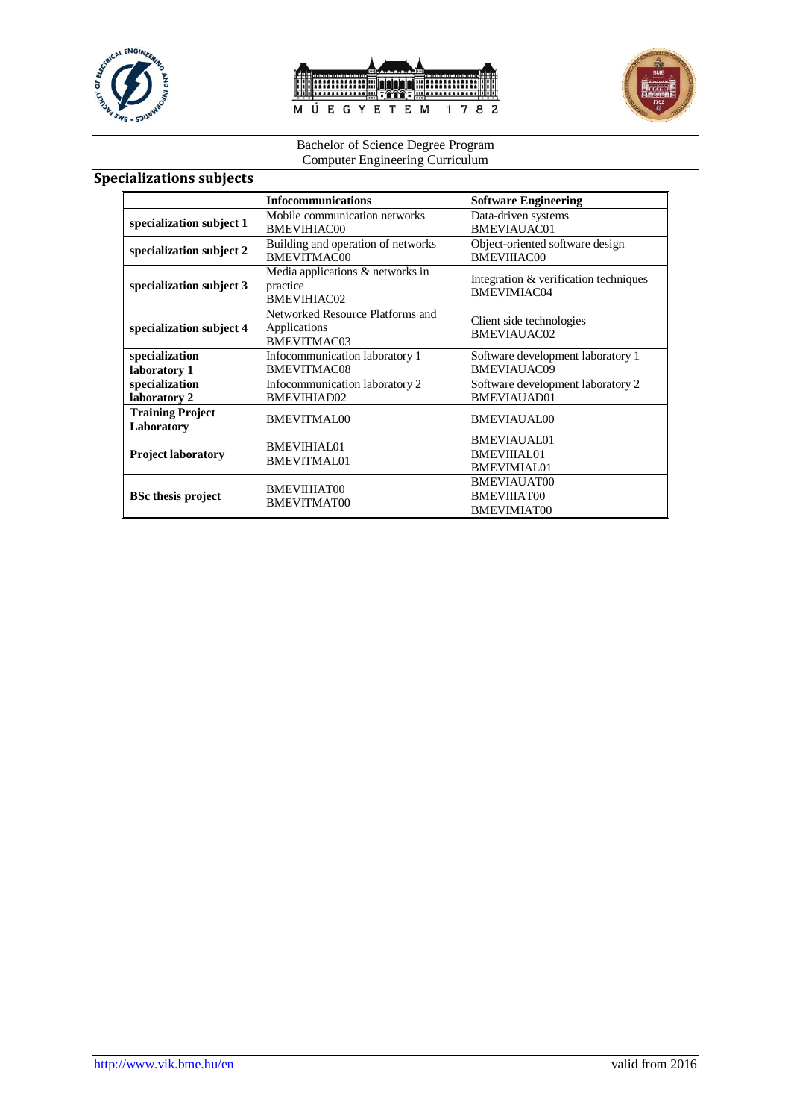





#### **Specializations subjects**

|                                       | <b>Infocommunications</b>                                          | <b>Software Engineering</b>                             |
|---------------------------------------|--------------------------------------------------------------------|---------------------------------------------------------|
| specialization subject 1              | Mobile communication networks<br>BMEVIHIAC00                       | Data-driven systems<br>BMEVIAUAC01                      |
| specialization subject 2              | Building and operation of networks<br>BMEVITMAC00                  | Object-oriented software design<br>BMEVIIIAC00          |
| specialization subject 3              | Media applications & networks in<br>practice<br><b>BMEVIHIAC02</b> | Integration & verification techniques<br>BMEVIMIAC04    |
| specialization subject 4              | Networked Resource Platforms and<br>Applications<br>BMEVITMAC03    | Client side technologies<br>BMEVIAUAC02                 |
| specialization<br>laboratory 1        | Infocommunication laboratory 1<br>BMEVITMAC08                      | Software development laboratory 1<br>BMEVIAUAC09        |
| specialization<br>laboratory 2        | Infocommunication laboratory 2<br>BMEVIHIAD02                      | Software development laboratory 2<br>BMEVIAUAD01        |
| <b>Training Project</b><br>Laboratory | <b>BMEVITMAL00</b>                                                 | <b>BMEVIAUAL00</b>                                      |
| <b>Project laboratory</b>             | BMEVIHIAL01<br><b>BMEVITMAL01</b>                                  | BMEVIAUAL01<br><b>BMEVIIIAL01</b><br>BMEVIMIAL01        |
| <b>BSc thesis project</b>             | <b>BMEVIHIAT00</b><br>BMEVITMAT00                                  | <b>BMEVIAUAT00</b><br>BMEVIIIAT00<br><b>BMEVIMIAT00</b> |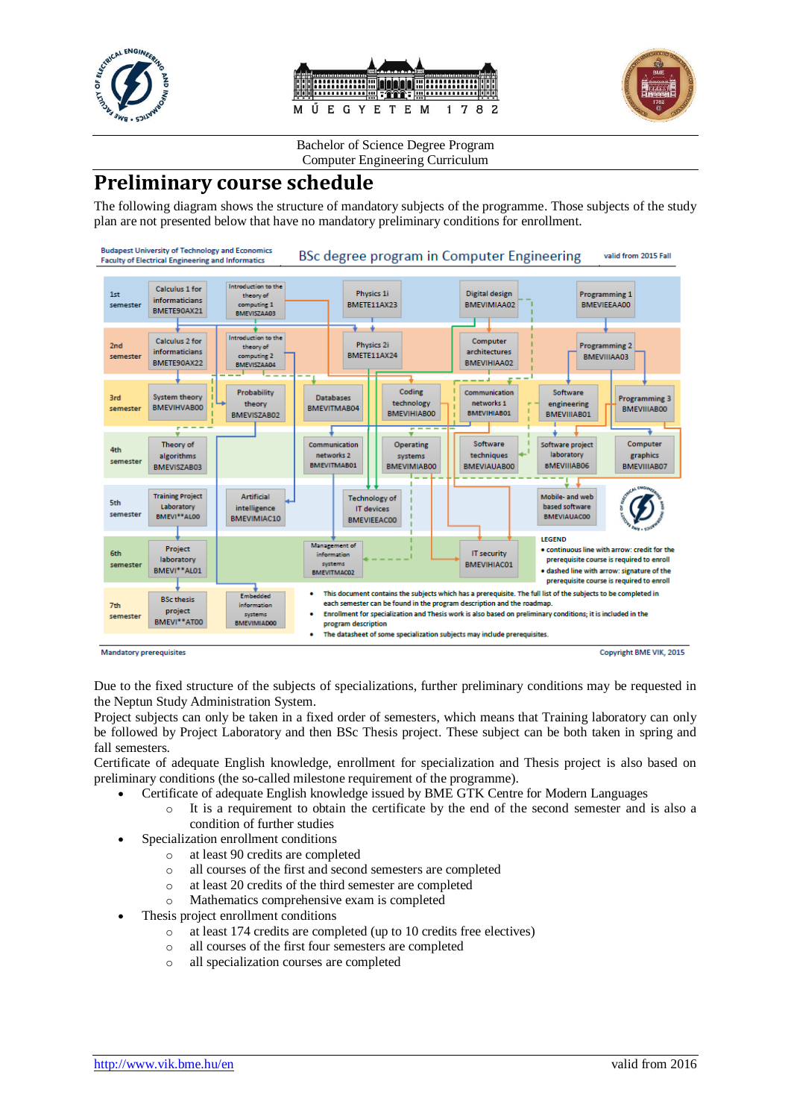





### **Preliminary course schedule**

The following diagram shows the structure of mandatory subjects of the programme. Those subjects of the study plan are not presented below that have no mandatory preliminary conditions for enrollment.



Due to the fixed structure of the subjects of specializations, further preliminary conditions may be requested in the Neptun Study Administration System.

Project subjects can only be taken in a fixed order of semesters, which means that Training laboratory can only be followed by Project Laboratory and then BSc Thesis project. These subject can be both taken in spring and fall semesters.

Certificate of adequate English knowledge, enrollment for specialization and Thesis project is also based on preliminary conditions (the so-called milestone requirement of the programme).

- Certificate of adequate English knowledge issued by BME GTK Centre for Modern Languages
	- o It is a requirement to obtain the certificate by the end of the second semester and is also a condition of further studies
- Specialization enrollment conditions
	- o at least 90 credits are completed
	- o all courses of the first and second semesters are completed
	- o at least 20 credits of the third semester are completed
	- o Mathematics comprehensive exam is completed
- Thesis project enrollment conditions
	- o at least 174 credits are completed (up to 10 credits free electives)
	- o all courses of the first four semesters are completed
	- o all specialization courses are completed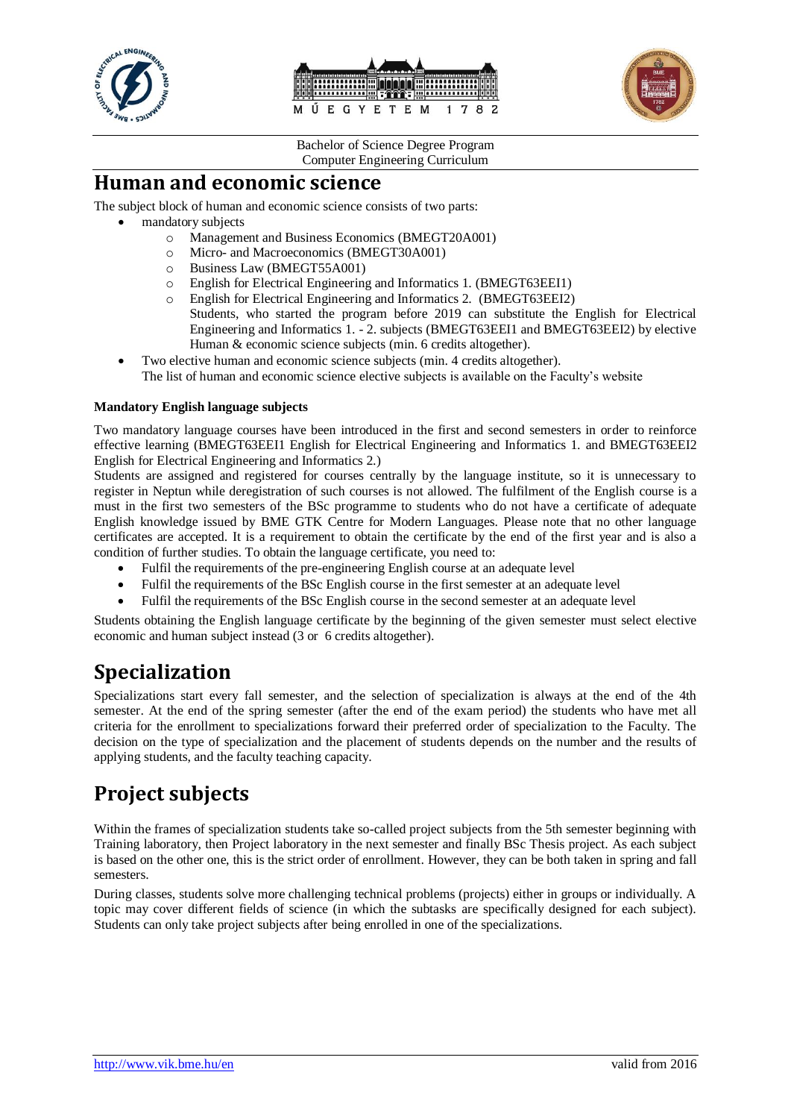





### **Human and economic science**

The subject block of human and economic science consists of two parts:

- mandatory subjects
	- o Management and Business Economics (BMEGT20A001)
	- o Micro- and Macroeconomics (BMEGT30A001)
	- o Business Law (BMEGT55A001)
	- o English for Electrical Engineering and Informatics 1. (BMEGT63EEI1)
	- o English for Electrical Engineering and Informatics 2. (BMEGT63EEI2) Students, who started the program before 2019 can substitute the English for Electrical Engineering and Informatics 1. - 2. subjects (BMEGT63EEI1 and BMEGT63EEI2) by elective Human & economic science subjects (min. 6 credits altogether).
- Two elective human and economic science subjects (min. 4 credits altogether). The list of human and economic science elective subjects is available on the Faculty's website

#### **Mandatory English language subjects**

Two mandatory language courses have been introduced in the first and second semesters in order to reinforce effective learning (BMEGT63EEI1 English for Electrical Engineering and Informatics 1. and BMEGT63EEI2 English for Electrical Engineering and Informatics 2.)

Students are assigned and registered for courses centrally by the language institute, so it is unnecessary to register in Neptun while deregistration of such courses is not allowed. The fulfilment of the English course is a must in the first two semesters of the BSc programme to students who do not have a certificate of adequate English knowledge issued by BME GTK Centre for Modern Languages. Please note that no other language certificates are accepted. It is a requirement to obtain the certificate by the end of the first year and is also a condition of further studies. To obtain the language certificate, you need to:

- Fulfil the requirements of the pre-engineering English course at an adequate level
- Fulfil the requirements of the BSc English course in the first semester at an adequate level
- Fulfil the requirements of the BSc English course in the second semester at an adequate level

Students obtaining the English language certificate by the beginning of the given semester must select elective economic and human subject instead (3 or 6 credits altogether).

## **Specialization**

Specializations start every fall semester, and the selection of specialization is always at the end of the 4th semester. At the end of the spring semester (after the end of the exam period) the students who have met all criteria for the enrollment to specializations forward their preferred order of specialization to the Faculty. The decision on the type of specialization and the placement of students depends on the number and the results of applying students, and the faculty teaching capacity.

## **Project subjects**

Within the frames of specialization students take so-called project subjects from the 5th semester beginning with Training laboratory, then Project laboratory in the next semester and finally BSc Thesis project. As each subject is based on the other one, this is the strict order of enrollment. However, they can be both taken in spring and fall semesters.

During classes, students solve more challenging technical problems (projects) either in groups or individually. A topic may cover different fields of science (in which the subtasks are specifically designed for each subject). Students can only take project subjects after being enrolled in one of the specializations.